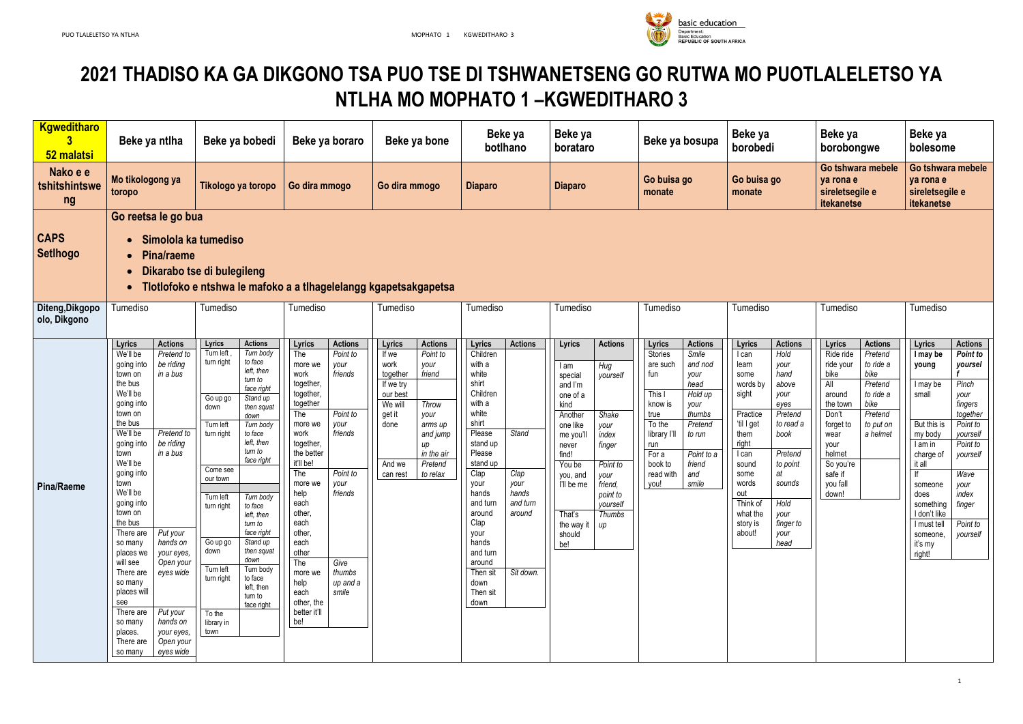

# **2021 THADISO KA GA DIKGONO TSA PUO TSE DI TSHWANETSENG GO RUTWA MO PUOTLALELETSO YA NTLHA MO MOPHATO 1 –KGWEDITHARO 3**

| <b>Kgweditharo</b><br>52 malatsi | Beke ya ntlha                                                                                                                                                                                                                                                                                                                                                                                                                                                                                                                                                                                                             | Beke ya bobedi                                                                                                                                                                                                                                                                                                                                                                                                                                                                                                                                                       | Beke ya boraro                                                                                                                                                                                                                                                                                                                                                                                                                                       | Beke ya bone                                                                                                                                                                                                                                | Beke ya<br>botlhano                                                                                                                                                                                                                                                                                                                                                    | Beke ya<br>borataro                                                                                                                                                                                                                                                                                                                      | Beke ya bosupa                                                                                                                                                                                                                                                                              | Beke ya<br>borobedi                                                                                                                                                                                                                                                                                                                                                             | Beke ya<br>borobongwe                                                                                                                                                                                                                                                                    | Beke ya<br>bolesome                                                                                                                                                                                                                                                                                                                                                                                         |
|----------------------------------|---------------------------------------------------------------------------------------------------------------------------------------------------------------------------------------------------------------------------------------------------------------------------------------------------------------------------------------------------------------------------------------------------------------------------------------------------------------------------------------------------------------------------------------------------------------------------------------------------------------------------|----------------------------------------------------------------------------------------------------------------------------------------------------------------------------------------------------------------------------------------------------------------------------------------------------------------------------------------------------------------------------------------------------------------------------------------------------------------------------------------------------------------------------------------------------------------------|------------------------------------------------------------------------------------------------------------------------------------------------------------------------------------------------------------------------------------------------------------------------------------------------------------------------------------------------------------------------------------------------------------------------------------------------------|---------------------------------------------------------------------------------------------------------------------------------------------------------------------------------------------------------------------------------------------|------------------------------------------------------------------------------------------------------------------------------------------------------------------------------------------------------------------------------------------------------------------------------------------------------------------------------------------------------------------------|------------------------------------------------------------------------------------------------------------------------------------------------------------------------------------------------------------------------------------------------------------------------------------------------------------------------------------------|---------------------------------------------------------------------------------------------------------------------------------------------------------------------------------------------------------------------------------------------------------------------------------------------|---------------------------------------------------------------------------------------------------------------------------------------------------------------------------------------------------------------------------------------------------------------------------------------------------------------------------------------------------------------------------------|------------------------------------------------------------------------------------------------------------------------------------------------------------------------------------------------------------------------------------------------------------------------------------------|-------------------------------------------------------------------------------------------------------------------------------------------------------------------------------------------------------------------------------------------------------------------------------------------------------------------------------------------------------------------------------------------------------------|
| Nako e e<br>tshitshintswe<br>ng  | Mo tikologong ya<br>toropo                                                                                                                                                                                                                                                                                                                                                                                                                                                                                                                                                                                                | Tikologo ya toropo                                                                                                                                                                                                                                                                                                                                                                                                                                                                                                                                                   | Go dira mmogo                                                                                                                                                                                                                                                                                                                                                                                                                                        | Go dira mmogo                                                                                                                                                                                                                               | <b>Diaparo</b>                                                                                                                                                                                                                                                                                                                                                         | <b>Diaparo</b>                                                                                                                                                                                                                                                                                                                           | Go buisa go<br>monate                                                                                                                                                                                                                                                                       | Go buisa go<br>monate                                                                                                                                                                                                                                                                                                                                                           | Go tshwara mebele<br>ya rona e<br>sireletsegile e<br>itekanetse                                                                                                                                                                                                                          | Go tshwara mebele<br>ya rona e<br>sireletsegile e<br>itekanetse                                                                                                                                                                                                                                                                                                                                             |
| <b>CAPS</b><br><b>SetIhogo</b>   | Go reetsa le go bua<br>Simolola ka tumediso<br>$\bullet$<br><b>Pina/raeme</b><br>$\bullet$<br>$\bullet$<br>$\bullet$                                                                                                                                                                                                                                                                                                                                                                                                                                                                                                      | Dikarabo tse di bulegileng<br>Tlotlofoko e ntshwa le mafoko a a tlhagelelangg kgapetsakgapetsa                                                                                                                                                                                                                                                                                                                                                                                                                                                                       |                                                                                                                                                                                                                                                                                                                                                                                                                                                      |                                                                                                                                                                                                                                             |                                                                                                                                                                                                                                                                                                                                                                        |                                                                                                                                                                                                                                                                                                                                          |                                                                                                                                                                                                                                                                                             |                                                                                                                                                                                                                                                                                                                                                                                 |                                                                                                                                                                                                                                                                                          |                                                                                                                                                                                                                                                                                                                                                                                                             |
| Diteng, Dikgopo<br>olo, Dikgono  | Tumediso                                                                                                                                                                                                                                                                                                                                                                                                                                                                                                                                                                                                                  | Tumediso                                                                                                                                                                                                                                                                                                                                                                                                                                                                                                                                                             | Tumediso                                                                                                                                                                                                                                                                                                                                                                                                                                             | Tumediso                                                                                                                                                                                                                                    | Tumediso                                                                                                                                                                                                                                                                                                                                                               | Tumediso                                                                                                                                                                                                                                                                                                                                 | Tumediso                                                                                                                                                                                                                                                                                    | Tumediso                                                                                                                                                                                                                                                                                                                                                                        | Tumediso                                                                                                                                                                                                                                                                                 | Tumediso                                                                                                                                                                                                                                                                                                                                                                                                    |
| Pina/Raeme                       | Lyrics<br><b>Actions</b><br>Pretend to<br>We'll be<br>be riding<br>going into<br>in a bus<br>town on<br>the bus<br>We'll be<br>going into<br>town on<br>the bus<br>Pretend to<br>We'll be<br>be riding<br>going into<br>in a bus<br>town<br>We'll be<br>going into<br>town<br>We'll be<br>going into<br>town on<br>the bus<br>Put your<br>There are<br>hands on<br>so many<br>places we<br>your eyes,<br>will see<br>Open your<br>There are $\vert$ eyes wide<br>so many<br>places will<br>see<br>Put your<br>There are<br>hands on<br>so many<br>your eyes,<br>places.<br>Open your<br>There are<br>eyes wide<br>so many | Lyrics<br><b>Actions</b><br>Turn left<br>Turn body<br>turn right<br>to face<br>left, then<br>turn to<br>face right<br>Stand up<br>Go up go<br>then squat<br>down<br>down<br>Turn left<br>Turn body<br>turn right<br>to face<br>left, then<br>turn to<br>face right<br>Come see<br>our town<br>Turn left<br>Turn body<br>turn right<br>to face<br>left, then<br>turn to<br>face right<br>Stand up<br>Go up go<br>down<br>then squat<br>down<br>Turn left<br>Turn body<br>turn right<br>to face<br>left, then<br>turn to<br>face right<br>To the<br>library in<br>town | Lyrics<br><b>Actions</b><br>The<br>Point to<br>more we<br>your<br>friends<br>work<br>together,<br>together,<br>together<br>The<br>Point to<br>your<br>more we<br>friends<br>work<br>together,<br>the better<br>it'll be!<br>Point to<br>The<br>more we<br>your<br>help<br>friends<br>each<br>other,<br>each<br>other,<br>each<br>other<br>The<br>Give<br>thumbs<br>more we<br>help<br>up and a<br>each<br>smile<br>other, the<br>better it'll<br>be! | Lyrics<br><b>Actions</b><br>Point to<br>If we<br>work<br>your<br>together<br>friend<br>If we try<br>our best<br>We wil<br>Throw<br>get it<br>your<br>done<br>arms up<br>and jump<br>in the air<br>And we<br>Pretend<br>to relax<br>can rest | Lyrics<br><b>Actions</b><br>Children<br>with a<br>white<br>shirt<br>Children<br>with a<br>white<br>shirt<br>Please<br><b>Stand</b><br>stand up<br>Please<br>stand up<br>Clap<br>Clap<br>your<br>your<br>hands<br>hands<br>and turn<br>and turn<br>around<br>around<br>Clap<br>your<br>hands<br>and turn<br>around<br>Sit down.<br>Then sit<br>down<br>Then sit<br>down | Lyrics<br><b>Actions</b><br>Hug<br>lam<br>special<br>yourself<br>and I'm<br>one of a<br>kind<br>Another<br>Shake<br>one like<br>your<br>index<br>me you'l<br>finger<br>never<br>find!<br>You be<br>Point to<br>you, and<br>your<br>friend,<br>I'll be me<br>point to<br>yourself<br>That's<br>Thumbs<br>the way it $up$<br>should<br>be! | Lyrics<br><b>Actions</b><br>Stories<br>Smile<br>and nod<br>are such<br>fun<br>your<br>head<br>This I<br>Hold up<br>know is<br>your<br>thumbs<br>true<br>To the<br>Pretend<br>library l'Il<br>to run<br>run<br>For a<br>Point to a<br>book to<br>friend<br>read with<br>and<br>smile<br>you! | Lyrics<br><b>Actions</b><br>Hold<br>I can<br>learn<br>your<br>hand<br>some<br>words by<br>above<br>sight<br>your<br>eyes<br>Pretend<br>Practice<br>'til I get<br>to read a<br>book<br>them<br>right<br>Pretend<br>I can<br>to point<br>sound<br>at<br>some<br>words<br>sounds<br>out<br>Think of<br>Hold<br>what the<br>your<br>story is<br>finger to<br>about!<br>your<br>head | Lyrics<br><b>Actions</b><br>Ride ride<br>Pretend<br>ride your<br>to ride a<br>bike<br>bike<br>All<br>Pretend<br>to ride a<br>around<br>bike<br>the town<br>Pretend<br>Don't<br>forget to<br>to put on<br>a helmet<br>wear<br>your<br>helmet<br>So you're<br>safe if<br>you fall<br>down! | <b>Lyrics</b><br><b>Actions</b><br>Point to<br>I may be<br>yoursel<br>young<br>I may be<br>Pinch<br>small<br>your<br>fingers<br>together<br>Point to<br>But this is<br>my body<br>yourself<br>Point to<br>I am in<br>charge of<br>yourself<br>it all<br>Wave<br>someone<br>your<br>index<br>does<br>something finger<br>I don't like<br>Point to<br>I must tell<br>someone,<br>yourself<br>iťs my<br>right! |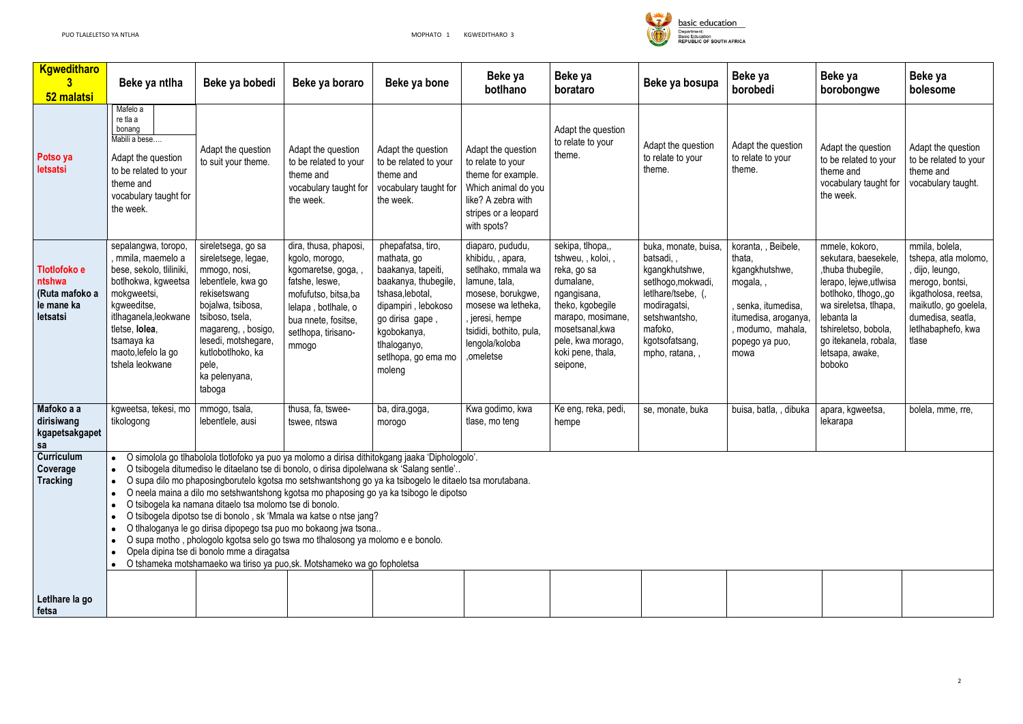

| <b>Kgweditharo</b><br>52 malatsi                                   | Beke ya ntlha                                                                                                                                                                                                                                                                                                                                                                                                                                                                                                                                                                                                                                                                                                                                                                                                                     | Beke ya bobedi                                                                                                                                                                                                                                 | Beke ya boraro                                                                                                                                                                        | Beke ya bone                                                                                                                                                                                                 | Beke ya<br>botlhano                                                                                                                                                                                  | Beke ya<br>borataro                                                                                                                                                                                 | Beke ya bosupa                                                                                                                                                                   | Beke ya<br>borobedi                                                                                                                                     | Beke ya<br>borobongwe                                                                                                                                                                                                               | Beke ya<br>bolesome                                                                                                                                                               |
|--------------------------------------------------------------------|-----------------------------------------------------------------------------------------------------------------------------------------------------------------------------------------------------------------------------------------------------------------------------------------------------------------------------------------------------------------------------------------------------------------------------------------------------------------------------------------------------------------------------------------------------------------------------------------------------------------------------------------------------------------------------------------------------------------------------------------------------------------------------------------------------------------------------------|------------------------------------------------------------------------------------------------------------------------------------------------------------------------------------------------------------------------------------------------|---------------------------------------------------------------------------------------------------------------------------------------------------------------------------------------|--------------------------------------------------------------------------------------------------------------------------------------------------------------------------------------------------------------|------------------------------------------------------------------------------------------------------------------------------------------------------------------------------------------------------|-----------------------------------------------------------------------------------------------------------------------------------------------------------------------------------------------------|----------------------------------------------------------------------------------------------------------------------------------------------------------------------------------|---------------------------------------------------------------------------------------------------------------------------------------------------------|-------------------------------------------------------------------------------------------------------------------------------------------------------------------------------------------------------------------------------------|-----------------------------------------------------------------------------------------------------------------------------------------------------------------------------------|
| Potso ya<br>letsatsi                                               | Mafelo a<br>re tla a<br>bonang<br>Mabili a bese<br>Adapt the question<br>to be related to your<br>theme and<br>vocabulary taught for<br>the week.                                                                                                                                                                                                                                                                                                                                                                                                                                                                                                                                                                                                                                                                                 | Adapt the question<br>to suit your theme.                                                                                                                                                                                                      | Adapt the question<br>to be related to your<br>theme and<br>vocabulary taught for<br>the week.                                                                                        | Adapt the question<br>to be related to your<br>theme and<br>vocabulary taught for<br>the week.                                                                                                               | Adapt the question<br>to relate to your<br>theme for example.<br>Which animal do you<br>like? A zebra with<br>stripes or a leopard<br>with spots?                                                    | Adapt the question<br>to relate to your<br>theme.                                                                                                                                                   | Adapt the question<br>to relate to your<br>theme.                                                                                                                                | Adapt the question<br>to relate to your<br>theme.                                                                                                       | Adapt the question<br>to be related to your<br>theme and<br>vocabulary taught for<br>the week.                                                                                                                                      | Adapt the question<br>to be related to your<br>theme and<br>vocabulary taught.                                                                                                    |
| Tlotlofoko e<br>ntshwa<br>(Ruta mafoko a<br>le mane ka<br>letsatsi | sepalangwa, toropo,<br>, mmila, maemelo a<br>bese, sekolo, tliliniki,<br>botlhokwa, kgweetsa<br>mokgweetsi,<br>kgweeditse,<br>itlhaganela, leokwane<br>tletse, lolea,<br>tsamaya ka<br>maoto, lefelo la go<br>tshela leokwane                                                                                                                                                                                                                                                                                                                                                                                                                                                                                                                                                                                                     | sireletsega, go sa<br>sireletsege, legae,<br>mmogo, nosi,<br>lebentlele, kwa go<br>rekisetswang<br>bojalwa, tsibosa,<br>tsiboso, tsela,<br>magareng, , bosigo,<br>lesedi, motshegare,<br>kutlobotlhoko, ka<br>pele,<br>ka pelenyana,<br>taboga | dira, thusa, phaposi,<br>kgolo, morogo,<br>kgomaretse, goga,,<br>fatshe, leswe,<br>mofufutso, bitsa, ba<br>lelapa, botlhale, o<br>bua nnete, fositse,<br>setlhopa, tirisano-<br>mmogo | phepafatsa, tiro,<br>mathata, go<br>baakanya, tapeiti,<br>baakanya, thubegile,<br>tshasa, lebotal,<br>dipampiri, lebokoso<br>go dirisa gape,<br>kgobokanya,<br>tlhaloganyo,<br>setlhopa, go ema mo<br>moleng | diaparo, pududu,<br>khibidu, , apara,<br>setlhako, mmala wa<br>lamune, tala,<br>mosese, borukgwe,<br>mosese wa letheka,<br>, jeresi, hempe<br>tsididi, bothito, pula,<br>lengola/koloba<br>,omeletse | sekipa, tlhopa,,<br>tshweu, , koloi, ,<br>reka, go sa<br>dumalane,<br>ngangisana,<br>theko, kgobegile<br>marapo, mosimane,<br>mosetsanal, kwa<br>pele, kwa morago,<br>koki pene, thala,<br>seipone, | buka, monate, buisa,<br>batsadi,,<br>kgangkhutshwe,<br>setlhogo, mokwadi,<br>letlhare/tsebe, (,<br>modiragatsi,<br>setshwantsho,<br>mafoko,<br>kgotsofatsang,<br>mpho, ratana, , | koranta, , Beibele,<br>thata,<br>kgangkhutshwe,<br>mogala,,<br>, senka, itumedisa,<br>itumedisa, aroganya,<br>modumo, mahala,<br>popego ya puo,<br>mowa | mmele, kokoro,<br>sekutara, baesekele,<br>, thuba thubegile,<br>lerapo, lejwe, utlwisa<br>botlhoko, tlhogo,,go<br>wa sireletsa, tlhapa,<br>lebanta la<br>tshireletso, bobola,<br>go itekanela, robala,<br>letsapa, awake,<br>boboko | mmila, bolela,<br>tshepa, atla molomo,<br>, dijo, leungo,<br>merogo, bontsi,<br>ikgatholosa, reetsa,<br>maikutlo, go goelela,<br>dumedisa, seatla,<br>letlhabaphefo, kwa<br>tlase |
| Mafoko a a<br>dirisiwang<br>kgapetsakgapet<br>sa                   | kgweetsa, tekesi, mo<br>tikologong                                                                                                                                                                                                                                                                                                                                                                                                                                                                                                                                                                                                                                                                                                                                                                                                | mmogo, tsala,<br>lebentlele, ausi                                                                                                                                                                                                              | thusa, fa, tswee-<br>tswee, ntswa                                                                                                                                                     | ba, dira, goga,<br>morogo                                                                                                                                                                                    | Kwa godimo, kwa<br>tlase, mo teng                                                                                                                                                                    | Ke eng, reka, pedi,<br>hempe                                                                                                                                                                        | se, monate, buka                                                                                                                                                                 | buisa, batla, , dibuka                                                                                                                                  | apara, kgweetsa,<br>lekarapa                                                                                                                                                                                                        | bolela, mme, rre,                                                                                                                                                                 |
| <b>Curriculum</b><br>Coverage<br><b>Tracking</b>                   | O simolola go tlhabolola tlotlofoko ya puo ya molomo a dirisa dithitokgang jaaka 'Diphologolo'.<br>O tsibogela ditumediso le ditaelano tse di bonolo, o dirisa dipolelwana sk 'Salang sentle'<br>O supa dilo mo phaposingborutelo kgotsa mo setshwantshong go ya ka tsibogelo le ditaelo tsa morutabana.<br>$\bullet$<br>O neela maina a dilo mo setshwantshong kgotsa mo phaposing go ya ka tsibogo le dipotso<br>O tsibogela ka namana ditaelo tsa molomo tse di bonolo.<br>O tsibogela dipotso tse di bonolo, sk 'Mmala wa katse o ntse jang?<br>O tlhaloganya le go dirisa dipopego tsa puo mo bokaong jwa tsona<br>O supa motho, phologolo kgotsa selo go tswa mo tlhalosong ya molomo e e bonolo.<br>Opela dipina tse di bonolo mme a diragatsa<br>O tshameka motshamaeko wa tiriso ya puo, sk. Motshameko wa go fopholetsa |                                                                                                                                                                                                                                                |                                                                                                                                                                                       |                                                                                                                                                                                                              |                                                                                                                                                                                                      |                                                                                                                                                                                                     |                                                                                                                                                                                  |                                                                                                                                                         |                                                                                                                                                                                                                                     |                                                                                                                                                                                   |
| Letlhare la go<br>fetsa                                            |                                                                                                                                                                                                                                                                                                                                                                                                                                                                                                                                                                                                                                                                                                                                                                                                                                   |                                                                                                                                                                                                                                                |                                                                                                                                                                                       |                                                                                                                                                                                                              |                                                                                                                                                                                                      |                                                                                                                                                                                                     |                                                                                                                                                                                  |                                                                                                                                                         |                                                                                                                                                                                                                                     |                                                                                                                                                                                   |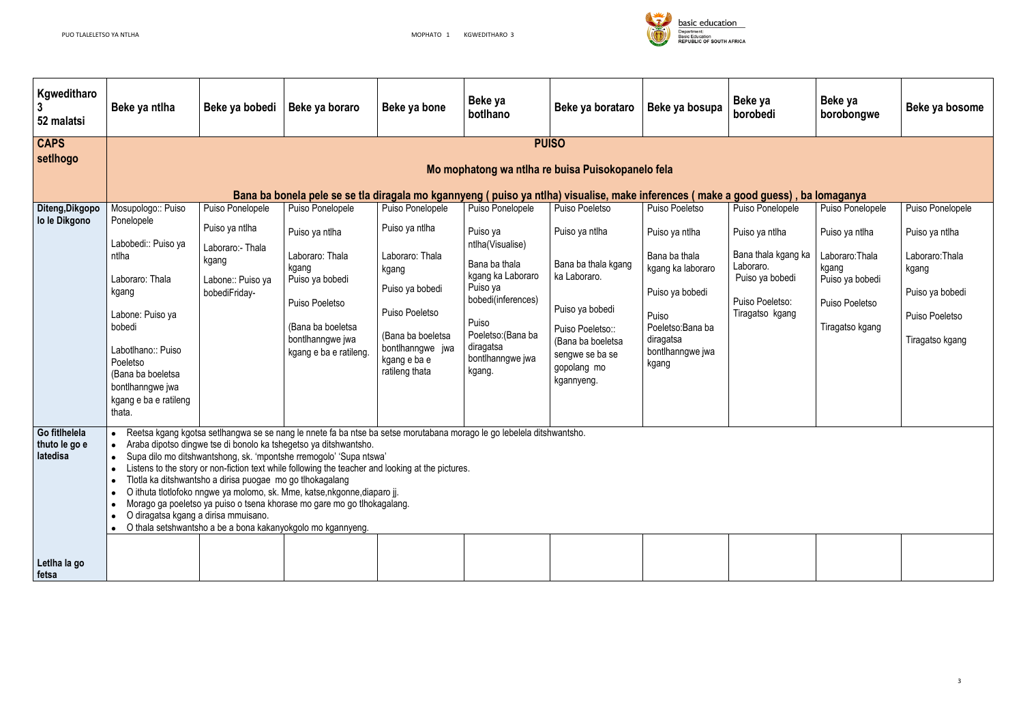

| Kgweditharo<br>52 malatsi                              | Beke ya ntlha                                                           | Beke ya bobedi                                            | Beke ya boraro                                                                                                                                                                                                                                                                                                                                                                                                                                                                                                                                                                            | Beke ya bone                                       | Beke ya<br>botlhano                     | Beke ya borataro                                                                                                                  | Beke ya bosupa                     | Beke ya<br>borobedi              | Beke ya<br>borobongwe             | Beke ya bosome           |  |
|--------------------------------------------------------|-------------------------------------------------------------------------|-----------------------------------------------------------|-------------------------------------------------------------------------------------------------------------------------------------------------------------------------------------------------------------------------------------------------------------------------------------------------------------------------------------------------------------------------------------------------------------------------------------------------------------------------------------------------------------------------------------------------------------------------------------------|----------------------------------------------------|-----------------------------------------|-----------------------------------------------------------------------------------------------------------------------------------|------------------------------------|----------------------------------|-----------------------------------|--------------------------|--|
| <b>CAPS</b><br>setIhogo                                |                                                                         |                                                           |                                                                                                                                                                                                                                                                                                                                                                                                                                                                                                                                                                                           |                                                    |                                         | <b>PUISO</b>                                                                                                                      |                                    |                                  |                                   |                          |  |
|                                                        |                                                                         | Mo mophatong wa ntiha re buisa Puisokopanelo fela         |                                                                                                                                                                                                                                                                                                                                                                                                                                                                                                                                                                                           |                                                    |                                         |                                                                                                                                   |                                    |                                  |                                   |                          |  |
|                                                        |                                                                         |                                                           |                                                                                                                                                                                                                                                                                                                                                                                                                                                                                                                                                                                           |                                                    |                                         | Bana ba bonela pele se se tla diragala mo kgannyeng (puiso ya ntlha) visualise, make inferences (make a good guess), ba lomaganya |                                    |                                  |                                   |                          |  |
| Diteng, Dikgopo                                        | Mosupologo:: Puiso                                                      | Puiso Ponelopele                                          | Puiso Ponelopele                                                                                                                                                                                                                                                                                                                                                                                                                                                                                                                                                                          | Puiso Ponelopele                                   | Puiso Ponelopele                        | Puiso Poeletso                                                                                                                    | Puiso Poeletso                     | Puiso Ponelopele                 | Puiso Ponelopele                  | Puiso Ponelopele         |  |
| lo le Dikgono                                          | Ponelopele                                                              | Puiso ya ntlha                                            | Puiso ya ntlha                                                                                                                                                                                                                                                                                                                                                                                                                                                                                                                                                                            | Puiso ya ntlha                                     | Puiso ya                                | Puiso ya ntlha                                                                                                                    | Puiso ya ntlha                     | Puiso ya ntlha                   | Puiso ya ntlha                    | Puiso ya ntlha           |  |
|                                                        | Labobedi:: Puiso ya<br>ntlha                                            | Laboraro:- Thala<br>kgang                                 | Laboraro: Thala<br>kgang                                                                                                                                                                                                                                                                                                                                                                                                                                                                                                                                                                  | Laboraro: Thala                                    | ntlha(Visualise)<br>Bana ba thala       | Bana ba thala kgang                                                                                                               | Bana ba thala<br>kgang ka laboraro | Bana thala kgang ka<br>Laboraro. | Laboraro: Thala<br>kgang          | Laboraro: Thala<br>kgang |  |
| Laboraro: Thala<br>kgang<br>Labone: Puiso ya<br>bobedi | Puiso ya bobedi<br>Labone:: Puiso ya<br>bobediFriday-<br>Puiso Poeletso | kgang<br>Puiso ya bobedi                                  | kgang ka Laboraro<br>Puiso ya<br>bobedi(inferences)                                                                                                                                                                                                                                                                                                                                                                                                                                                                                                                                       | ka Laboraro.                                       | Puiso ya bobedi                         | Puiso ya bobedi<br>Puiso Poeletso:                                                                                                | Puiso ya bobedi<br>Puiso Poeletso  | Puiso ya bobedi                  |                                   |                          |  |
|                                                        |                                                                         | (Bana ba boeletsa<br>bontlhanngwe jwa                     | Puiso Poeletso<br>(Bana ba boeletsa                                                                                                                                                                                                                                                                                                                                                                                                                                                                                                                                                       | Puiso<br>Poeletso: (Bana ba                        | Puiso ya bobedi<br>Puiso Poeletso::     | Puiso<br>Poeletso: Bana ba<br>diragatsa                                                                                           | Tiragatso kgang                    | Tiragatso kgang                  | Puiso Poeletso<br>Tiragatso kgang |                          |  |
|                                                        | Labotlhano:: Puiso<br>Poeletso                                          |                                                           | kgang e ba e ratileng.                                                                                                                                                                                                                                                                                                                                                                                                                                                                                                                                                                    | bontlhanngwe jwa<br>kgang e ba e<br>ratileng thata | diragatsa<br>bontlhanngwe jwa<br>kgang. | (Bana ba boeletsa<br>sengwe se ba se<br>gopolang mo                                                                               | bontlhanngwe jwa<br>kgang          |                                  |                                   |                          |  |
|                                                        | (Bana ba boeletsa<br>bontlhanngwe jwa<br>kgang e ba e ratileng          |                                                           |                                                                                                                                                                                                                                                                                                                                                                                                                                                                                                                                                                                           |                                                    |                                         | kgannyeng.                                                                                                                        |                                    |                                  |                                   |                          |  |
|                                                        | thata.                                                                  |                                                           |                                                                                                                                                                                                                                                                                                                                                                                                                                                                                                                                                                                           |                                                    |                                         |                                                                                                                                   |                                    |                                  |                                   |                          |  |
| Go fitlhelela<br>thuto le go e<br>latedisa             | $\bullet$<br>O diragatsa kgang a dirisa mmuisano.                       | Tlotla ka ditshwantsho a dirisa puogae mo go tlhokagalang | Reetsa kgang kgotsa setlhangwa se se nang le nnete fa ba ntse ba setse morutabana morago le go lebelela ditshwantsho.<br>Araba dipotso dingwe tse di bonolo ka tshegetso ya ditshwantsho.<br>Supa dilo mo ditshwantshong, sk. 'mpontshe rremogolo' 'Supa ntswa'<br>Listens to the story or non-fiction text while following the teacher and looking at the pictures.<br>O ithuta tlotlofoko nngwe ya molomo, sk. Mme, katse,nkgonne,diaparo jj.<br>Morago ga poeletso ya puiso o tsena khorase mo gare mo go tlhokagalang.<br>O thala setshwantsho a be a bona kakanyokgolo mo kgannyeng. |                                                    |                                         |                                                                                                                                   |                                    |                                  |                                   |                          |  |
| Letlha la go<br>fetsa                                  |                                                                         |                                                           |                                                                                                                                                                                                                                                                                                                                                                                                                                                                                                                                                                                           |                                                    |                                         |                                                                                                                                   |                                    |                                  |                                   |                          |  |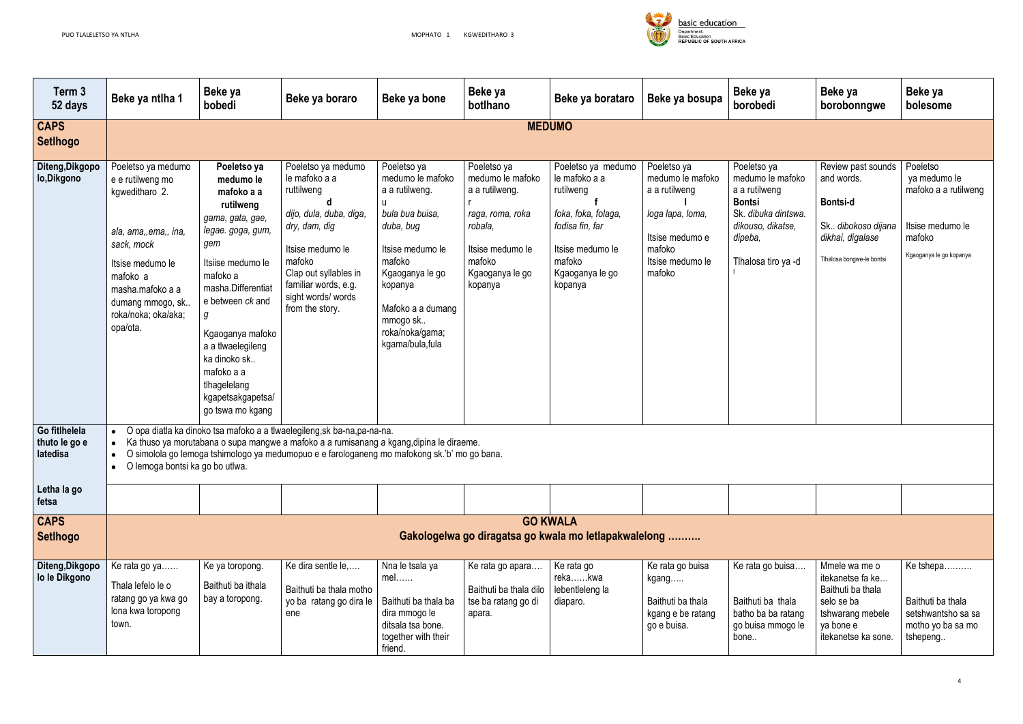

| Term 3<br>52 days                          | Beke ya ntlha 1                                                                                                                                                                                            | Beke ya<br>bobedi                                                                                                                                                                                                                                                                                               | Beke ya boraro                                                                                                                                                                                                                                                       | Beke ya bone                                                                                                                                                                                                         | Beke ya<br>botlhano                                                                                                                          | Beke ya borataro                                                                                                                                       | Beke ya bosupa                                                                                                                  | Beke ya<br>borobedi                                                                                                                             | Beke ya<br>borobonngwe                                                                                                       | Beke ya<br>bolesome                                                                                       |  |
|--------------------------------------------|------------------------------------------------------------------------------------------------------------------------------------------------------------------------------------------------------------|-----------------------------------------------------------------------------------------------------------------------------------------------------------------------------------------------------------------------------------------------------------------------------------------------------------------|----------------------------------------------------------------------------------------------------------------------------------------------------------------------------------------------------------------------------------------------------------------------|----------------------------------------------------------------------------------------------------------------------------------------------------------------------------------------------------------------------|----------------------------------------------------------------------------------------------------------------------------------------------|--------------------------------------------------------------------------------------------------------------------------------------------------------|---------------------------------------------------------------------------------------------------------------------------------|-------------------------------------------------------------------------------------------------------------------------------------------------|------------------------------------------------------------------------------------------------------------------------------|-----------------------------------------------------------------------------------------------------------|--|
| <b>CAPS</b><br><b>SetIhogo</b>             | <b>MEDUMO</b>                                                                                                                                                                                              |                                                                                                                                                                                                                                                                                                                 |                                                                                                                                                                                                                                                                      |                                                                                                                                                                                                                      |                                                                                                                                              |                                                                                                                                                        |                                                                                                                                 |                                                                                                                                                 |                                                                                                                              |                                                                                                           |  |
| Diteng, Dikgopo<br>lo, Dikgono             | Poeletso ya medumo<br>e e rutilweng mo<br>kgweditharo 2.<br>ala, ama,, ema,, ina,<br>sack, mock<br>Itsise medumo le<br>mafoko a<br>masha.mafoko a a<br>dumang mmogo, sk<br>roka/noka; oka/aka;<br>opa/ota. | Poeletso ya<br>medumo le<br>mafoko a a<br>rutilweng<br>gama, gata, gae,<br>legae. goga, gum,<br>gem<br>Itsiise medumo le<br>mafoko a<br>masha.Differentiat<br>e between ck and<br>Kgaoganya mafoko<br>a a tlwaelegileng<br>ka dinoko sk.<br>mafoko a a<br>tlhagelelang<br>kgapetsakgapetsa/<br>go tswa mo kgang | Poeletso ya medumo<br>le mafoko a a<br>ruttilweng<br>dijo, dula, duba, diga,<br>dry, dam, dig<br>Itsise medumo le<br>mafoko<br>Clap out syllables in<br>familiar words, e.g.<br>sight words/ words<br>from the story.                                                | Poeletso ya<br>medumo le mafoko<br>a a rutilweng.<br>bula bua buisa,<br>duba, bug<br>Itsise medumo le<br>mafoko<br>Kgaoganya le go<br>kopanya<br>Mafoko a a dumang<br>mmogo sk<br>roka/noka/gama;<br>kgama/bula,fula | Poeletso ya<br>medumo le mafoko<br>a a rutilweng.<br>raga, roma, roka<br>robala,<br>Itsise medumo le<br>mafoko<br>Kgaoganya le go<br>kopanya | Poeletso ya medumo<br>le mafoko a a<br>rutilweng<br>foka, foka, folaga,<br>fodisa fin, far<br>Itsise medumo le<br>mafoko<br>Kgaoganya le go<br>kopanya | Poeletso ya<br>medumo le mafoko<br>a a rutilweng<br>loga lapa, loma,<br>Itsise medumo e<br>mafoko<br>Itsise medumo le<br>mafoko | Poeletso ya<br>medumo le mafoko<br>a a rutilweng<br><b>Bontsi</b><br>Sk. dibuka dintswa.<br>dikouso, dikatse,<br>dipeba,<br>Tlhalosa tiro ya -d | Review past sounds<br>and words.<br><b>Bontsi-d</b><br>Sk dibokoso dijana<br>dikhai, digalase<br>Tlhalosa bongwe-le bontsi   | Poeletso<br>ya medumo le<br>mafoko a a rutilweng<br>Itsise medumo le<br>mafoko<br>Kgaoganya le go kopanya |  |
| Go fitlhelela<br>thuto le go e<br>latedisa | $\bullet$<br>O lemoga bontsi ka go bo utlwa.                                                                                                                                                               |                                                                                                                                                                                                                                                                                                                 | O opa diatla ka dinoko tsa mafoko a a tlwaelegileng, sk ba-na, pa-na-na.<br>Ka thuso ya morutabana o supa mangwe a mafoko a a rumisanang a kgang, dipina le diraeme.<br>O simolola go lemoga tshimologo ya medumopuo e e farologaneng mo mafokong sk.'b' mo go bana. |                                                                                                                                                                                                                      |                                                                                                                                              |                                                                                                                                                        |                                                                                                                                 |                                                                                                                                                 |                                                                                                                              |                                                                                                           |  |
| Letha la go<br>fetsa                       |                                                                                                                                                                                                            |                                                                                                                                                                                                                                                                                                                 |                                                                                                                                                                                                                                                                      |                                                                                                                                                                                                                      |                                                                                                                                              |                                                                                                                                                        |                                                                                                                                 |                                                                                                                                                 |                                                                                                                              |                                                                                                           |  |
| <b>CAPS</b><br><b>SetIhogo</b>             |                                                                                                                                                                                                            |                                                                                                                                                                                                                                                                                                                 |                                                                                                                                                                                                                                                                      |                                                                                                                                                                                                                      |                                                                                                                                              | <b>GO KWALA</b><br>Gakologelwa go diragatsa go kwala mo letlapakwalelong                                                                               |                                                                                                                                 |                                                                                                                                                 |                                                                                                                              |                                                                                                           |  |
| Diteng, Dikgopo<br>lo le Dikgono           | Ke rata go ya<br>Thala lefelo le o<br>ratang go ya kwa go<br>lona kwa toropong<br>town.                                                                                                                    | Ke ya toropong.<br>Baithuti ba ithala<br>bay a toropong.                                                                                                                                                                                                                                                        | Ke dira sentle le,<br>Baithuti ba thala motho<br>yo ba ratang go dira le<br>ene                                                                                                                                                                                      | Nna le tsala ya<br>mel<br>Baithuti ba thala ba<br>dira mmogo le<br>ditsala tsa bone.<br>together with their<br>friend.                                                                                               | Ke rata go apara<br>Baithuti ba thala dilo<br>tse ba ratang go di<br>apara.                                                                  | Ke rata go<br>rekakwa<br>lebentleleng la<br>diaparo.                                                                                                   | Ke rata go buisa<br>kgang…<br>Baithuti ba thala<br>kgang e be ratang<br>go e buisa.                                             | Ke rata go buisa<br>Baithuti ba thala<br>batho ba ba ratang<br>go buisa mmogo le<br>bone                                                        | Mmele wa me o<br>itekanetse fa ke<br>Baithuti ba thala<br>selo se ba<br>tshwarang mebele<br>ya bone e<br>itekanetse ka sone. | Ke tshepa<br>Baithuti ba thala<br>setshwantsho sa sa<br>motho yo ba sa mo<br>tshepeng                     |  |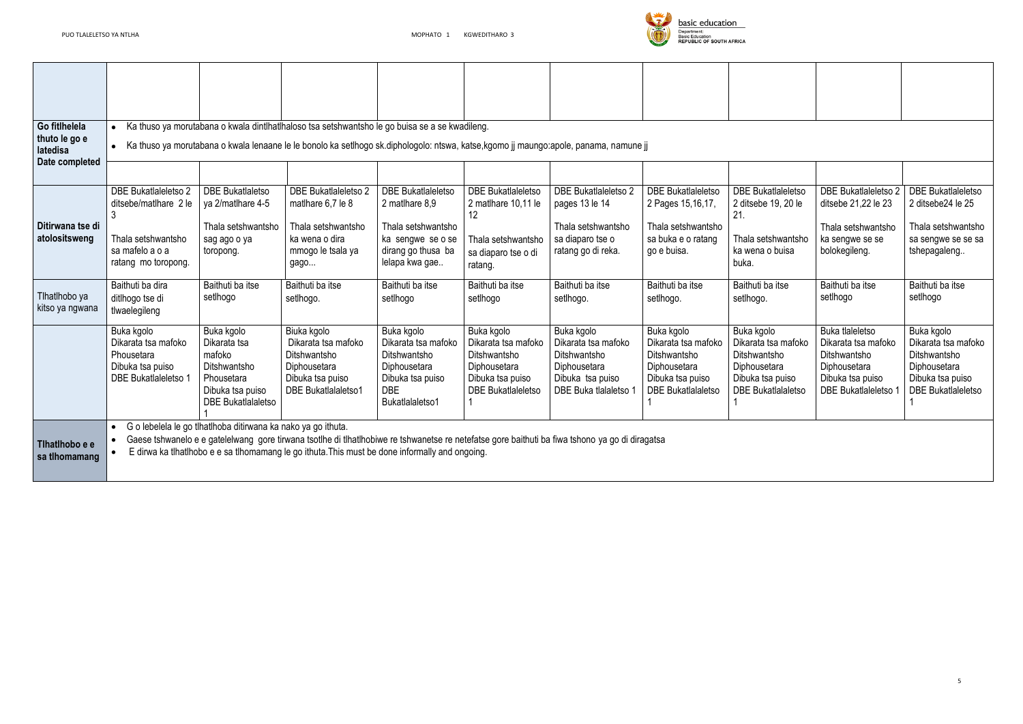

| Go fitlhelela<br>thuto le go e<br>latedisa<br>Date completed |                                                                                                                      |                                                                                                                     | Ka thuso ya morutabana o kwala dintlhatlhaloso tsa setshwantsho le go buisa se a se kwadileng.<br>• Ka thuso ya morutabana o kwala lenaane le le bonolo ka setlhogo sk.diphologolo: ntswa, katse,kgomo jj maungo:apole, panama, namune jj          |                                                                                                                                |                                                                                                                    |                                                                                                                |                                                                                                                    |                                                                                                                    |                                                                                                                                |                                                                                                                    |
|--------------------------------------------------------------|----------------------------------------------------------------------------------------------------------------------|---------------------------------------------------------------------------------------------------------------------|----------------------------------------------------------------------------------------------------------------------------------------------------------------------------------------------------------------------------------------------------|--------------------------------------------------------------------------------------------------------------------------------|--------------------------------------------------------------------------------------------------------------------|----------------------------------------------------------------------------------------------------------------|--------------------------------------------------------------------------------------------------------------------|--------------------------------------------------------------------------------------------------------------------|--------------------------------------------------------------------------------------------------------------------------------|--------------------------------------------------------------------------------------------------------------------|
| Ditirwana tse di<br>atolositsweng                            | <b>DBE Bukatlaleletso 2</b><br>ditsebe/matlhare 2 le<br>Thala setshwantsho<br>sa mafelo a o a<br>ratang mo toropong. | <b>DBE Bukatlaletso</b><br>ya 2/matlhare 4-5<br>Thala setshwantsho<br>sag ago o ya<br>toropong.                     | <b>DBE Bukatlaleletso 2</b><br>matlhare 6,7 le 8<br>Thala setshwantsho<br>ka wena o dira<br>mmogo le tsala ya<br>gago                                                                                                                              | <b>DBE Bukatlaleletso</b><br>2 matlhare 8,9<br>Thala setshwantsho<br>ka sengwe se o se<br>dirang go thusa ba<br>lelapa kwa gae | <b>DBE Bukatlaleletso</b><br>2 matlhare 10,11 le<br>12<br>Thala setshwantsho<br>sa diaparo tse o di<br>ratang.     | <b>DBE Bukatlaleletso 2</b><br>pages 13 le 14<br>Thala setshwantsho<br>sa diaparo tse o<br>ratang go di reka.  | <b>DBE Bukatlaleletso</b><br>2 Pages 15, 16, 17,<br>Thala setshwantsho<br>sa buka e o ratang<br>go e buisa.        | <b>DBE</b> Bukatlaleletso<br>2 ditsebe 19, 20 le<br>21.<br>Thala setshwantsho<br>ka wena o buisa<br>buka.          | <b>DBE Bukatlaleletso 2</b><br>ditsebe 21,22 le 23<br>Thala setshwantsho<br>ka sengwe se se<br>bolokegileng.                   | <b>DBE Bukatlaleletso</b><br>2 ditsebe24 le 25<br>Thala setshwantsho<br>sa sengwe se se sa<br>tshepagaleng         |
| Tlhatlhobo ya<br>kitso ya ngwana                             | Baithuti ba dira<br>ditlhogo tse di<br>tlwaelegileng                                                                 | Baithuti ba itse<br>setlhogo                                                                                        | Baithuti ba itse<br>setlhogo.                                                                                                                                                                                                                      | Baithuti ba itse<br>setlhogo                                                                                                   | Baithuti ba itse<br>setlhogo                                                                                       | Baithuti ba itse<br>setlhogo.                                                                                  | Baithuti ba itse<br>setlhogo.                                                                                      | Baithuti ba itse<br>setlhogo.                                                                                      | Baithuti ba itse<br>setlhogo                                                                                                   | Baithuti ba itse<br>setlhogo                                                                                       |
|                                                              | Buka kgolo<br>Dikarata tsa mafoko<br>Phousetara<br>Dibuka tsa puiso<br><b>DBE Bukatlaleletso 1</b>                   | Buka kgolo<br>Dikarata tsa<br>mafoko<br>Ditshwantsho<br>Phousetara<br>Dibuka tsa puiso<br><b>DBE Bukatlalaletso</b> | Biuka kgolo<br>Dikarata tsa mafoko<br>Ditshwantsho<br>Diphousetara<br>Dibuka tsa puiso<br><b>DBE</b> Bukatlalaletso1                                                                                                                               | Buka kgolo<br>Dikarata tsa mafoko<br>Ditshwantsho<br>Diphousetara<br>Dibuka tsa puiso<br><b>DBE</b><br>Bukatlalaletso1         | Buka kgolo<br>Dikarata tsa mafoko<br>Ditshwantsho<br>Diphousetara<br>Dibuka tsa puiso<br><b>DBE Bukatlaleletso</b> | Buka kgolo<br>Dikarata tsa mafoko<br>Ditshwantsho<br>Diphousetara<br>Dibuka tsa puiso<br>DBE Buka tlalaletso 1 | Buka kgolo<br>Dikarata tsa mafoko<br>Ditshwantsho<br>Diphousetara<br>Dibuka tsa puiso<br><b>DBE</b> Bukatlalaletso | Buka kgolo<br>Dikarata tsa mafoko<br>Ditshwantsho<br>Diphousetara<br>Dibuka tsa puiso<br><b>DBE</b> Bukatlalaletso | <b>Buka tlaleletso</b><br>Dikarata tsa mafoko<br>Ditshwantsho<br>Diphousetara<br>Dibuka tsa puiso<br><b>DBE Bukatlaleletso</b> | Buka kgolo<br>Dikarata tsa mafoko<br>Ditshwantsho<br>Diphousetara<br>Dibuka tsa puiso<br><b>DBE Bukatlaleletso</b> |
| Tihatihobo e e<br>sa tlhomamang                              |                                                                                                                      | G o lebelela le go tihatihoba ditirwana ka nako ya go ithuta.                                                       | Gaese tshwanelo e e gatelelwang gore tirwana tsotlhe di tlhatlhobiwe re tshwanetse re netefatse gore baithuti ba fiwa tshono ya go di diragatsa<br>E dirwa ka tlhatlhobo e e sa tlhomamang le go ithuta. This must be done informally and ongoing. |                                                                                                                                |                                                                                                                    |                                                                                                                |                                                                                                                    |                                                                                                                    |                                                                                                                                |                                                                                                                    |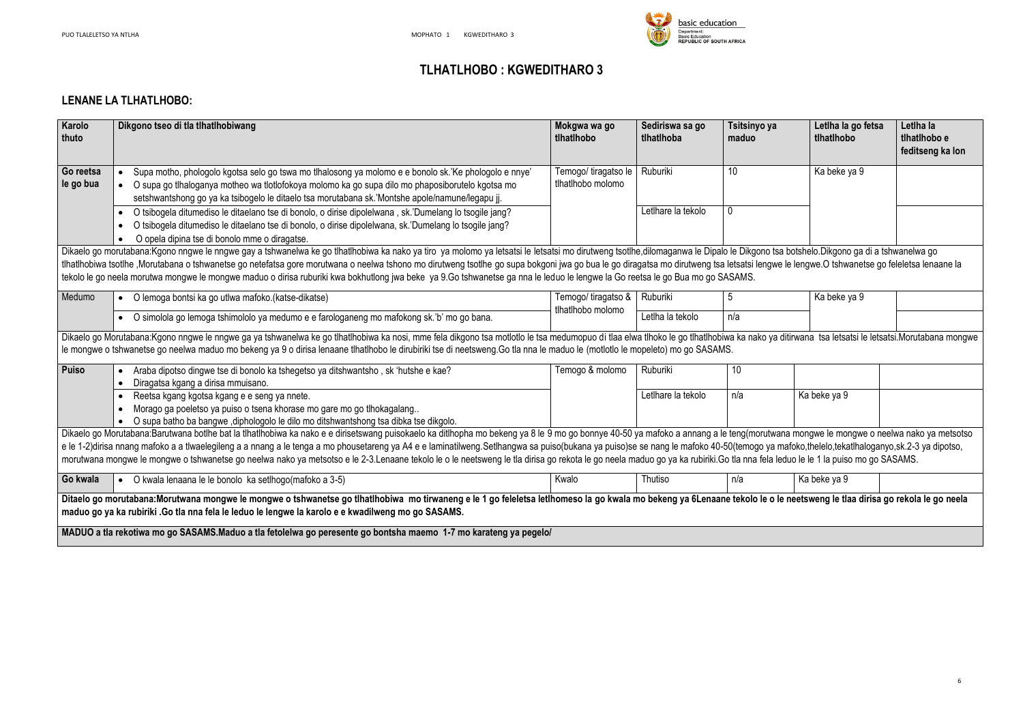

# **TLHATLHOBO : KGWEDITHARO 3**

#### **LENANE LA TLHATLHOBO:**

| a | Letlha la go fetsa<br>tlhatlhobo           | Letlha la<br>tlhatlhobo e<br>feditseng ka lon                                                          |
|---|--------------------------------------------|--------------------------------------------------------------------------------------------------------|
|   | Ka beke ya 9                               |                                                                                                        |
|   |                                            |                                                                                                        |
|   | tsa botshelo.Dikgono ga di a tshwanelwa go | we le lengwe.O tshwanetse go feleletsa lenaane la                                                      |
|   | Ka beke ya 9                               |                                                                                                        |
|   |                                            |                                                                                                        |
|   |                                            | a ditirwana tsa letsatsi le letsatsi.Morutabana mongwe                                                 |
|   |                                            |                                                                                                        |
|   | Ka beke ya 9                               |                                                                                                        |
|   | leduo le le 1 la puiso mo go SASAMS.       | vana mongwe le mongwe o neelwa nako ya metsotso<br>a mafoko,thelelo,tekatlhaloganyo,sk.2-3 ya dipotso, |
|   | Ka beke ya 9                               |                                                                                                        |
|   |                                            | le neetsweng le tlaa dirisa go rekola le go neela                                                      |
|   |                                            |                                                                                                        |

| Karolo<br>thuto        | Dikgono tseo di tla tlhatlhobiwang                                                                                                                                                                                                                                                                                                                                                                                                                                                                                                                                                                                                                                                                | Mokgwa wa go<br>tlhatlhobo                | Sediriswa sa go<br>tlhatlhoba | Tsitsinyo ya<br>maduo | Letlha la go fetsa<br>tlhatlhobo | Letlha la<br>tlhatlhobo e<br>feditseng ka lon |
|------------------------|---------------------------------------------------------------------------------------------------------------------------------------------------------------------------------------------------------------------------------------------------------------------------------------------------------------------------------------------------------------------------------------------------------------------------------------------------------------------------------------------------------------------------------------------------------------------------------------------------------------------------------------------------------------------------------------------------|-------------------------------------------|-------------------------------|-----------------------|----------------------------------|-----------------------------------------------|
| Go reetsa<br>le go bua | Supa motho, phologolo kgotsa selo go tswa mo tlhalosong ya molomo e e bonolo sk.'Ke phologolo e nnye'<br>O supa go tlhaloganya motheo wa tlotlofokoya molomo ka go supa dilo mo phaposiborutelo kgotsa mo<br>setshwantshong go ya ka tsibogelo le ditaelo tsa morutabana sk.'Montshe apole/namune/legapu ji.                                                                                                                                                                                                                                                                                                                                                                                      | Temogo/ tiragatso le<br>tlhatlhobo molomo | Ruburiki                      | 10 <sup>°</sup>       | Ka beke ya 9                     |                                               |
|                        | O tsibogela ditumediso le ditaelano tse di bonolo, o dirise dipolelwana, sk.'Dumelang lo tsogile jang?<br>O tsibogela ditumediso le ditaelano tse di bonolo, o dirise dipolelwana, sk. Dumelang lo tsogile jang?<br>O opela dipina tse di bonolo mme o diragatse.                                                                                                                                                                                                                                                                                                                                                                                                                                 |                                           | Letlhare la tekolo            |                       |                                  |                                               |
|                        | Dikaelo go morutabana:Kgono nngwe le nngwe gay a tshwanelwa ke go tlhatlhobiwa ka nako ya tiro ya molomo ya letsatsi le letsatsi mo dirutweng tsotlhe,dilomaganwa le Dipalo le Dikgono tsa botshelo.Dikgono ga di a tshwanelwa<br>tlhatlhobiwa tsotlhe ,Morutabana o tshwanetse go netefatsa gore morutwana o neelwa tshono mo dirutweng tsotlhe go supa bokgoni jwa go bua le go diragatsa mo dirutweng tsa letsatsi lengwe le lengwe.O tshwanetse go feleletsa<br>tekolo le go neela morutwa mongwe le mongwe maduo o dirisa ruburiki kwa bokhutlong jwa beke ya 9.Go tshwanetse ga nna le leduo le lengwe la Go reetsa le go Bua mo go SASAMS.                                                 |                                           |                               |                       |                                  |                                               |
| Medumo                 | • O lemoga bontsi ka go utlwa mafoko.(katse-dikatse)                                                                                                                                                                                                                                                                                                                                                                                                                                                                                                                                                                                                                                              | Temogo/ tiragatso &<br>tlhatlhobo molomo  | Ruburiki                      | 5                     | Ka beke ya 9                     |                                               |
|                        | • O simolola go lemoga tshimololo ya medumo e e farologaneng mo mafokong sk.'b' mo go bana.                                                                                                                                                                                                                                                                                                                                                                                                                                                                                                                                                                                                       |                                           | Letlha la tekolo              | n/a                   |                                  |                                               |
|                        | Dikaelo go Morutabana:Kgono nngwe le nngwe ga ya tshwanelwa ke go tlhatlhobiwa ka nosi, mme fela dikgono tsa motlotlo le tsa medumopuo di tlaa elwa tlhoko le go tlhatlhobiwa ka nako ya ditirwana tsa letsatsi le letsatsi.Mo<br>le mongwe o tshwanetse go neelwa maduo mo bekeng ya 9 o dirisa lenaane tlhatlhobo le dirubiriki tse di neetsweng. Go tla nna le maduo le (motlotlo le mopeleto) mo go SASAMS.                                                                                                                                                                                                                                                                                   |                                           |                               |                       |                                  |                                               |
| <b>Puiso</b>           | Araba dipotso dingwe tse di bonolo ka tshegetso ya ditshwantsho, sk 'hutshe e kae?<br>Diragatsa kgang a dirisa mmuisano.<br>$\bullet$                                                                                                                                                                                                                                                                                                                                                                                                                                                                                                                                                             | Temogo & molomo                           | Ruburiki                      | 10                    |                                  |                                               |
|                        | Reetsa kgang kgotsa kgang e e seng ya nnete.<br>Morago ga poeletso ya puiso o tsena khorase mo gare mo go tlhokagalang<br>O supa batho ba bangwe , diphologolo le dilo mo ditshwantshong tsa dibka tse dikgolo.                                                                                                                                                                                                                                                                                                                                                                                                                                                                                   |                                           | Letlhare la tekolo            | n/a                   | Ka beke ya 9                     |                                               |
|                        | Dikaelo go Morutabana:Barutwana botlhe bat la tlhatlhobiwa ka nako e e dirisetswang puisokaelo ka ditlhopha mo bekeng ya 8 le 9 mo go bonnye 40-50 ya mafoko a annang a le teng(morutwana mongwe le mongwe o neelwa nako ya me<br>e le 1-2)dirisa nnang mafoko a a tlwaelegileng a a nnang a le tenga a mo phousetareng ya A4 e e laminatilweng.Setlhangwa sa puiso(bukana ya puiso)se se nang le mafoko 40-50(temogo ya mafoko,thelelo,tekatlhaloganyo,sk.2-3 y<br>morutwana mongwe le mongwe o tshwanetse go neelwa nako ya metsotso e le 2-3.Lenaane tekolo le o le neetsweng le tla dirisa go rekota le go neela maduo go ya ka rubiriki.Go tla nna fela leduo le le 1 la puiso mo go SASAMS. |                                           |                               |                       |                                  |                                               |
| Go kwala               | • O kwala lenaana le le bonolo ka setlhogo(mafoko a 3-5)                                                                                                                                                                                                                                                                                                                                                                                                                                                                                                                                                                                                                                          | Kwalo                                     | Thutiso                       | n/a                   | Ka beke ya 9                     |                                               |
|                        | Ditaelo go morutabana:Morutwana mongwe le mongwe o tshwanetse go tlhatlhobiwa mo tirwaneng e le 1 go feleletsa letlhomeso la go kwala mo bekeng ya 6Lenaane tekolo le o le neetsweng le tlaa dirisa go rekola le go neela<br>maduo go ya ka rubiriki .Go tla nna fela le leduo le lengwe la karolo e e kwadilweng mo go SASAMS.                                                                                                                                                                                                                                                                                                                                                                   |                                           |                               |                       |                                  |                                               |
|                        | MADUO a tla rekotiwa mo go SASAMS.Maduo a tla fetolelwa go peresente go bontsha maemo 1-7 mo karateng ya pegelo/                                                                                                                                                                                                                                                                                                                                                                                                                                                                                                                                                                                  |                                           |                               |                       |                                  |                                               |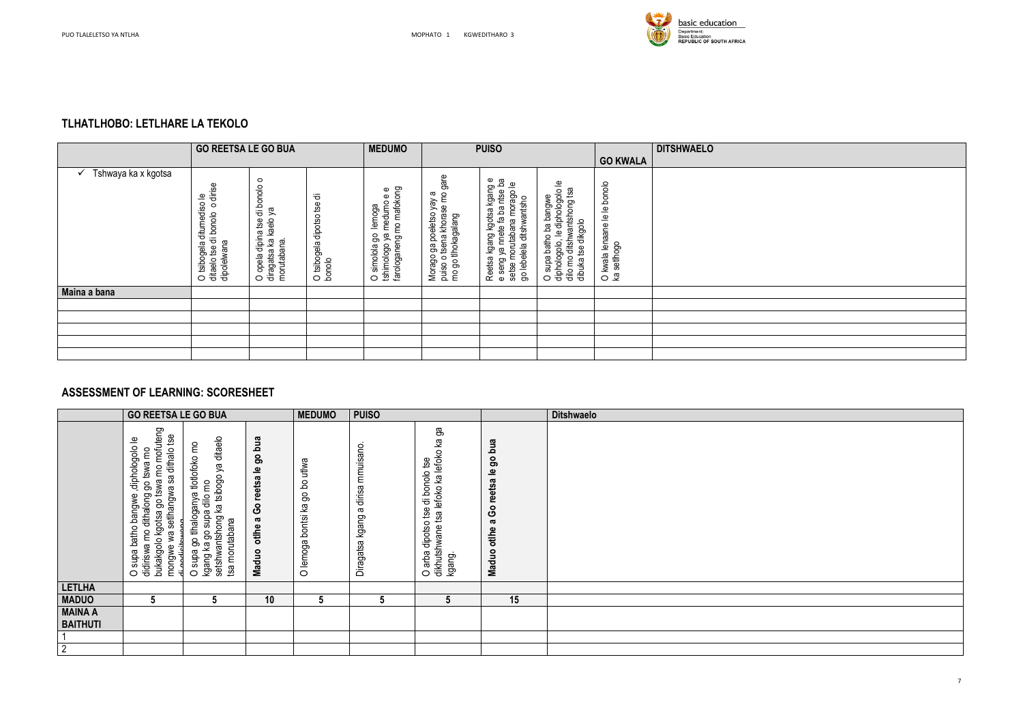

## **TLHATLHOBO: LETLHARE LA TEKOLO**

|                     | <b>GO REETSA LE GO BUA</b>                                                    |                                                                                      |                                        | <b>MEDUMO</b>                                                                      |                                                                                          | <b>PUISO</b>                                                                                                                                     |                                                                                                                 |                                             | <b>DITSHWAELO</b> |
|---------------------|-------------------------------------------------------------------------------|--------------------------------------------------------------------------------------|----------------------------------------|------------------------------------------------------------------------------------|------------------------------------------------------------------------------------------|--------------------------------------------------------------------------------------------------------------------------------------------------|-----------------------------------------------------------------------------------------------------------------|---------------------------------------------|-------------------|
|                     |                                                                               |                                                                                      |                                        |                                                                                    |                                                                                          |                                                                                                                                                  | <b>GO KWALA</b>                                                                                                 |                                             |                   |
| Tshwaya ka x kgotsa | o dirise<br>O tsibogela ditumediso le<br>ditaelo tse di bonolo<br>dipolelwana | $\circ$<br>di bonolo<br>ρg<br>diragatsa ka kaelo<br>O opela dipina tse<br>morutabana | ᄒ<br>O tsibogela dipotso tse<br>bonolo | farologaneng mo mafokong<br>ya medumo e e<br>lemoga<br>O simolola go<br>tshimologo | gare<br>o tsena khorase mo<br>a<br>Morago ga poeletso yay<br>mo go tlhokagalang<br>puiso | Reetsa kgang kgotsa kgang e<br>ъa<br>setse morutabana morago le<br>seng ya nnete fa ba ntse<br>go lebelela ditshwantsho<br>$\boldsymbol{\omega}$ | diphologolo le<br>dilo mo ditshwantshong tsa<br>O supa batho ba bangwe<br>dibuka tse dikgolo<br>diphologolo, le | O kwala lenaane le le bonolo<br>ka setlhogo |                   |
| Maina a bana        |                                                                               |                                                                                      |                                        |                                                                                    |                                                                                          |                                                                                                                                                  |                                                                                                                 |                                             |                   |
|                     |                                                                               |                                                                                      |                                        |                                                                                    |                                                                                          |                                                                                                                                                  |                                                                                                                 |                                             |                   |
|                     |                                                                               |                                                                                      |                                        |                                                                                    |                                                                                          |                                                                                                                                                  |                                                                                                                 |                                             |                   |
|                     |                                                                               |                                                                                      |                                        |                                                                                    |                                                                                          |                                                                                                                                                  |                                                                                                                 |                                             |                   |
|                     |                                                                               |                                                                                      |                                        |                                                                                    |                                                                                          |                                                                                                                                                  |                                                                                                                 |                                             |                   |
|                     |                                                                               |                                                                                      |                                        |                                                                                    |                                                                                          |                                                                                                                                                  |                                                                                                                 |                                             |                   |

### **ASSESSMENT OF LEARNING: SCORESHEET**

|                                   | <b>GO REETSA LE GO BUA</b>                                                                                                                                                                         |                                                                                                                           |                                                                             | <b>MEDUMO</b>                     | <b>PUISO</b>                            |                                                                                                                |                                                                   | <b>Ditshwaelo</b> |
|-----------------------------------|----------------------------------------------------------------------------------------------------------------------------------------------------------------------------------------------------|---------------------------------------------------------------------------------------------------------------------------|-----------------------------------------------------------------------------|-----------------------------------|-----------------------------------------|----------------------------------------------------------------------------------------------------------------|-------------------------------------------------------------------|-------------------|
|                                   | bukakgolo kgotsa go tswa mo mofuteng<br>est<br>diphologolo le<br>sa dithalo<br>go tswa mo<br>setthangwa<br>didiriswa mo dithalong<br>supa batho bangwe<br>mongwe wa :<br>di godiciteuro<br>$\circ$ | setshwantshong ka tsibogo ya ditaelo<br>O supa go tihaloganya tlotlofoko mo<br>kgang ka go supa dilo mo<br>tsa morutabana | go bua<br>reetsa le<br><u>ဝိ</u><br>$\boldsymbol{\sigma}$<br>otlhe<br>Maduo | go bo utlwa<br>O lemoga bontsi ka | dirisa mmuisano<br>g<br>Diragatsa kgang | ფ<br>თ<br>tsa lefoko ka lefoko ka<br>di bonolo tse<br>dipotso tse<br>dikhutshwane<br>arba<br>kgang.<br>$\circ$ | go bua<br>Go reetsa le<br>$\boldsymbol{\varpi}$<br>otlhe<br>Maduo |                   |
| <b>LETLHA</b>                     |                                                                                                                                                                                                    |                                                                                                                           |                                                                             |                                   |                                         |                                                                                                                |                                                                   |                   |
| <b>MADUO</b>                      | 5                                                                                                                                                                                                  | 5                                                                                                                         | 10                                                                          | 5                                 | 5                                       | $5\phantom{.0}$                                                                                                | 15                                                                |                   |
| <b>MAINA A</b><br><b>BAITHUTI</b> |                                                                                                                                                                                                    |                                                                                                                           |                                                                             |                                   |                                         |                                                                                                                |                                                                   |                   |
|                                   |                                                                                                                                                                                                    |                                                                                                                           |                                                                             |                                   |                                         |                                                                                                                |                                                                   |                   |
| $\overline{2}$                    |                                                                                                                                                                                                    |                                                                                                                           |                                                                             |                                   |                                         |                                                                                                                |                                                                   |                   |

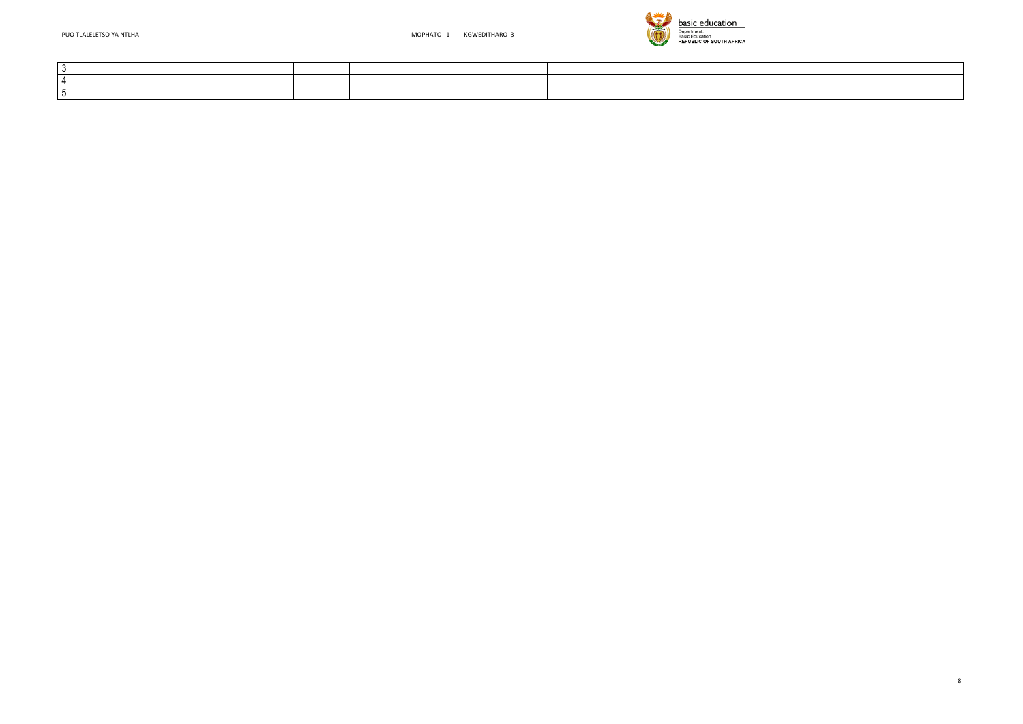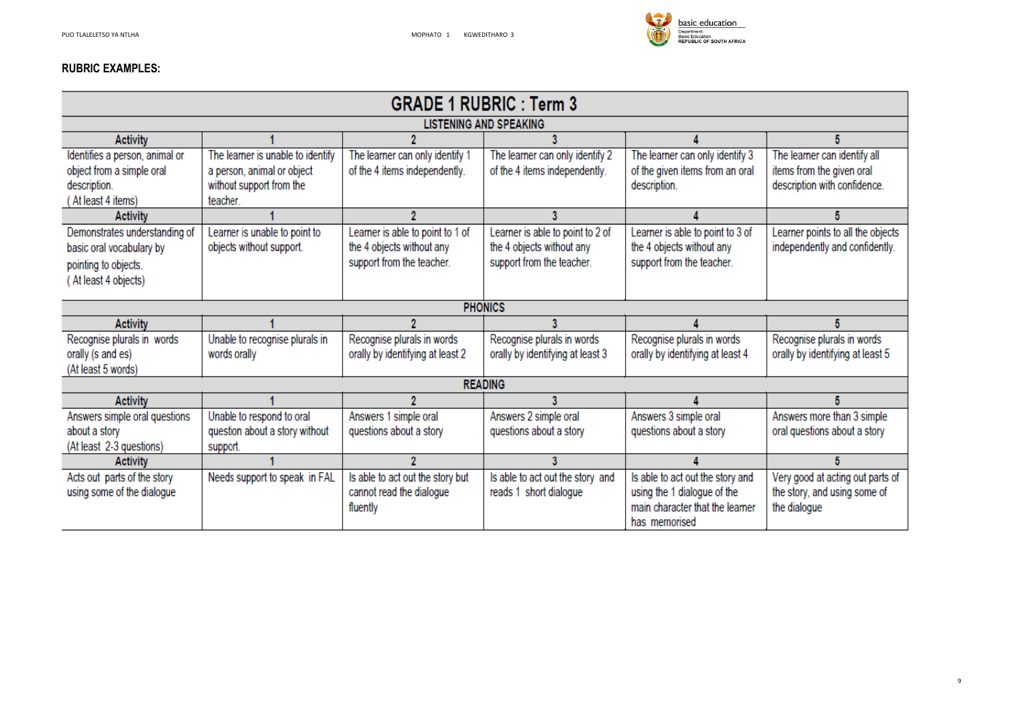

#### **RUBRIC EXAMPLES:**

|                                |                                   |                                  | <b>GRADE 1 RUBRIC: Term 3</b>    |                                  |  |
|--------------------------------|-----------------------------------|----------------------------------|----------------------------------|----------------------------------|--|
|                                |                                   |                                  | <b>LISTENING AND SPEAKING</b>    |                                  |  |
| <b>Activity</b>                |                                   |                                  |                                  |                                  |  |
| Identifies a person, animal or | The learner is unable to identify | The learner can only identify 1  | The learner can only identify 2  | The learner can only identify 3  |  |
| object from a simple oral      | a person, animal or object        | of the 4 items independently.    | of the 4 items independently.    | of the given items from an oral  |  |
| description.                   | without support from the          |                                  |                                  | description.                     |  |
| (At least 4 items)             | teacher.                          |                                  |                                  |                                  |  |
| <b>Activity</b>                |                                   |                                  |                                  |                                  |  |
| Demonstrates understanding of  | Learner is unable to point to     | Learner is able to point to 1 of | Learner is able to point to 2 of | Learner is able to point to 3 of |  |
| basic oral vocabulary by       | objects without support.          | the 4 objects without any        | the 4 objects without any        | the 4 objects without any        |  |
| pointing to objects.           |                                   | support from the teacher.        | support from the teacher.        | support from the teacher.        |  |
| (At least 4 objects)           |                                   |                                  |                                  |                                  |  |
|                                |                                   |                                  |                                  |                                  |  |
|                                |                                   |                                  | <b>PHONICS</b>                   |                                  |  |
| <b>Activity</b>                |                                   |                                  |                                  |                                  |  |
| Recognise plurals in words     | Unable to recognise plurals in    | Recognise plurals in words       | Recognise plurals in words       | Recognise plurals in words       |  |
| orally (s and es)              | words orally                      | orally by identifying at least 2 | orally by identifying at least 3 | orally by identifying at least 4 |  |
| (At least 5 words)             |                                   |                                  |                                  |                                  |  |
|                                |                                   |                                  | <b>READING</b>                   |                                  |  |
| <b>Activity</b>                |                                   |                                  |                                  |                                  |  |
| Answers simple oral questions  | Unable to respond to oral         | Answers 1 simple oral            | Answers 2 simple oral            | Answers 3 simple oral            |  |
| about a story                  | question about a story without    | questions about a story          | questions about a story          | questions about a story          |  |
| (At least 2-3 questions)       | support.                          |                                  |                                  |                                  |  |
| <b>Activity</b>                |                                   | 2                                | 3                                |                                  |  |
| Acts out parts of the story    | Needs support to speak in FAL     | Is able to act out the story but | Is able to act out the story and | Is able to act out the story and |  |
| using some of the dialogue     |                                   | cannot read the dialogue         | reads 1 short dialogue           | using the 1 dialogue of the      |  |
|                                |                                   | fluently                         |                                  | main character that the learner  |  |
|                                |                                   |                                  |                                  | has memorised                    |  |

# $5\phantom{.0}$ The learner can identify all items from the given oral description with confidence.  $5\overline{5}$ Learner points to all the objects<br>independently and confidently.  $5\phantom{.0}$ Recognise plurals in words<br>orally by identifying at least 5  $5\phantom{.0}$ Answers more than 3 simple oral questions about a story  $\sqrt{5}$

Very good at acting out parts of the story, and using some of the dialogue